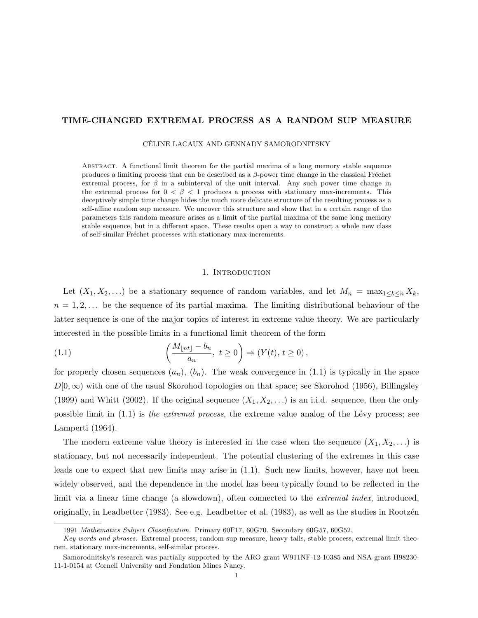# TIME-CHANGED EXTREMAL PROCESS AS A RANDOM SUP MEASURE

CELINE LACAUX AND GENNADY SAMORODNITSKY ´

Abstract. A functional limit theorem for the partial maxima of a long memory stable sequence produces a limiting process that can be described as a  $\beta$ -power time change in the classical Fréchet extremal process, for  $\beta$  in a subinterval of the unit interval. Any such power time change in the extremal process for  $0 < \beta < 1$  produces a process with stationary max-increments. This deceptively simple time change hides the much more delicate structure of the resulting process as a self-affine random sup measure. We uncover this structure and show that in a certain range of the parameters this random measure arises as a limit of the partial maxima of the same long memory stable sequence, but in a different space. These results open a way to construct a whole new class of self-similar Fréchet processes with stationary max-increments.

### 1. INTRODUCTION

Let  $(X_1, X_2, \ldots)$  be a stationary sequence of random variables, and let  $M_n = \max_{1 \leq k \leq n} X_k$ ,  $n = 1, 2, \ldots$  be the sequence of its partial maxima. The limiting distributional behaviour of the latter sequence is one of the major topics of interest in extreme value theory. We are particularly interested in the possible limits in a functional limit theorem of the form

(1.1) 
$$
\left(\frac{M_{\lfloor nt \rfloor} - b_n}{a_n}, t \ge 0\right) \Rightarrow (Y(t), t \ge 0),
$$

for properly chosen sequences  $(a_n)$ ,  $(b_n)$ . The weak convergence in (1.1) is typically in the space  $D[0,\infty)$  with one of the usual Skorohod topologies on that space; see Skorohod (1956), Billingsley (1999) and Whitt (2002). If the original sequence  $(X_1, X_2, ...)$  is an i.i.d. sequence, then the only possible limit in  $(1.1)$  is the extremal process, the extreme value analog of the Lévy process; see Lamperti (1964).

The modern extreme value theory is interested in the case when the sequence  $(X_1, X_2, \ldots)$  is stationary, but not necessarily independent. The potential clustering of the extremes in this case leads one to expect that new limits may arise in (1.1). Such new limits, however, have not been widely observed, and the dependence in the model has been typically found to be reflected in the limit via a linear time change (a slowdown), often connected to the *extremal index*, introduced, originally, in Leadbetter (1983). See e.g. Leadbetter et al. (1983), as well as the studies in Rootzén

<sup>1991</sup> Mathematics Subject Classification. Primary 60F17, 60G70. Secondary 60G57, 60G52.

Key words and phrases. Extremal process, random sup measure, heavy tails, stable process, extremal limit theorem, stationary max-increments, self-similar process.

Samorodnitsky's research was partially supported by the ARO grant W911NF-12-10385 and NSA grant H98230- 11-1-0154 at Cornell University and Fondation Mines Nancy.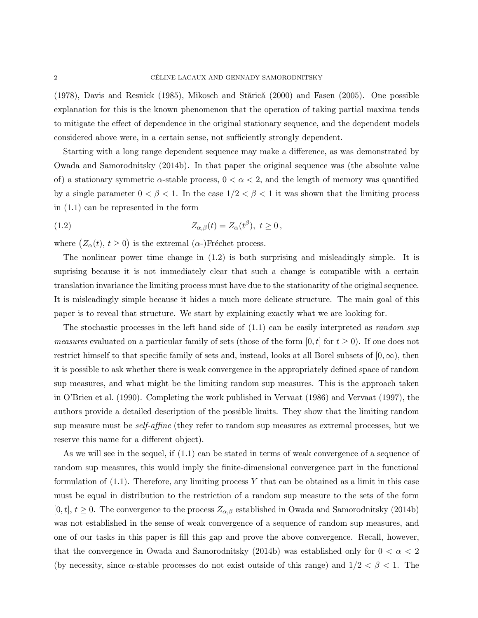$(1978)$ , Davis and Resnick  $(1985)$ , Mikosch and Stărică  $(2000)$  and Fasen  $(2005)$ . One possible explanation for this is the known phenomenon that the operation of taking partial maxima tends to mitigate the effect of dependence in the original stationary sequence, and the dependent models considered above were, in a certain sense, not sufficiently strongly dependent.

Starting with a long range dependent sequence may make a difference, as was demonstrated by Owada and Samorodnitsky (2014b). In that paper the original sequence was (the absolute value of) a stationary symmetric  $\alpha$ -stable process,  $0 < \alpha < 2$ , and the length of memory was quantified by a single parameter  $0 < \beta < 1$ . In the case  $1/2 < \beta < 1$  it was shown that the limiting process in (1.1) can be represented in the form

(1.2) 
$$
Z_{\alpha,\beta}(t) = Z_{\alpha}(t^{\beta}), \ t \ge 0,
$$

where  $(Z_{\alpha}(t), t \ge 0)$  is the extremal  $(\alpha$ -)Fréchet process.

The nonlinear power time change in (1.2) is both surprising and misleadingly simple. It is suprising because it is not immediately clear that such a change is compatible with a certain translation invariance the limiting process must have due to the stationarity of the original sequence. It is misleadingly simple because it hides a much more delicate structure. The main goal of this paper is to reveal that structure. We start by explaining exactly what we are looking for.

The stochastic processes in the left hand side of  $(1.1)$  can be easily interpreted as *random sup measures* evaluated on a particular family of sets (those of the form [0, t] for  $t \ge 0$ ). If one does not restrict himself to that specific family of sets and, instead, looks at all Borel subsets of  $[0, \infty)$ , then it is possible to ask whether there is weak convergence in the appropriately defined space of random sup measures, and what might be the limiting random sup measures. This is the approach taken in O'Brien et al. (1990). Completing the work published in Vervaat (1986) and Vervaat (1997), the authors provide a detailed description of the possible limits. They show that the limiting random sup measure must be *self-affine* (they refer to random sup measures as extremal processes, but we reserve this name for a different object).

As we will see in the sequel, if  $(1.1)$  can be stated in terms of weak convergence of a sequence of random sup measures, this would imply the finite-dimensional convergence part in the functional formulation of  $(1.1)$ . Therefore, any limiting process Y that can be obtained as a limit in this case must be equal in distribution to the restriction of a random sup measure to the sets of the form  $[0, t], t \geq 0$ . The convergence to the process  $Z_{\alpha,\beta}$  established in Owada and Samorodnitsky (2014b) was not established in the sense of weak convergence of a sequence of random sup measures, and one of our tasks in this paper is fill this gap and prove the above convergence. Recall, however, that the convergence in Owada and Samorodnitsky (2014b) was established only for  $0 < \alpha < 2$ (by necessity, since  $\alpha$ -stable processes do not exist outside of this range) and  $1/2 < \beta < 1$ . The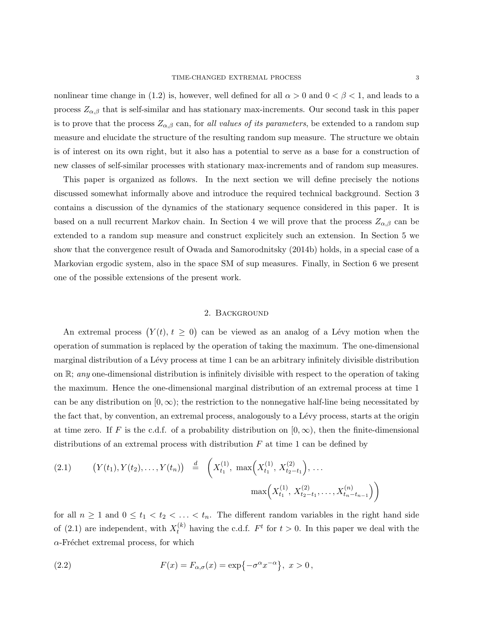nonlinear time change in (1.2) is, however, well defined for all  $\alpha > 0$  and  $0 < \beta < 1$ , and leads to a process  $Z_{\alpha,\beta}$  that is self-similar and has stationary max-increments. Our second task in this paper is to prove that the process  $Z_{\alpha,\beta}$  can, for all values of its parameters, be extended to a random sup measure and elucidate the structure of the resulting random sup measure. The structure we obtain is of interest on its own right, but it also has a potential to serve as a base for a construction of new classes of self-similar processes with stationary max-increments and of random sup measures.

This paper is organized as follows. In the next section we will define precisely the notions discussed somewhat informally above and introduce the required technical background. Section 3 contains a discussion of the dynamics of the stationary sequence considered in this paper. It is based on a null recurrent Markov chain. In Section 4 we will prove that the process  $Z_{\alpha,\beta}$  can be extended to a random sup measure and construct explicitely such an extension. In Section 5 we show that the convergence result of Owada and Samorodnitsky (2014b) holds, in a special case of a Markovian ergodic system, also in the space SM of sup measures. Finally, in Section 6 we present one of the possible extensions of the present work.

## 2. Background

An extremal process  $(Y(t), t \geq 0)$  can be viewed as an analog of a Lévy motion when the operation of summation is replaced by the operation of taking the maximum. The one-dimensional marginal distribution of a Lévy process at time 1 can be an arbitrary infinitely divisible distribution on  $\mathbb{R}$ ; any one-dimensional distribution is infinitely divisible with respect to the operation of taking the maximum. Hence the one-dimensional marginal distribution of an extremal process at time 1 can be any distribution on  $[0, \infty)$ ; the restriction to the nonnegative half-line being necessitated by the fact that, by convention, an extremal process, analogously to a Lévy process, starts at the origin at time zero. If F is the c.d.f. of a probability distribution on  $[0, \infty)$ , then the finite-dimensional distributions of an extremal process with distribution  $F$  at time 1 can be defined by

(2.1) 
$$
(Y(t_1), Y(t_2), \dots, Y(t_n)) \stackrel{d}{=} \left(X_{t_1}^{(1)}, \max\left(X_{t_1}^{(1)}, X_{t_2-t_1}^{(2)}\right), \dots\right)
$$

$$
\max\left(X_{t_1}^{(1)}, X_{t_2-t_1}^{(2)}, \dots, X_{t_n-t_{n-1}}^{(n)}\right)\right)
$$

for all  $n \geq 1$  and  $0 \leq t_1 < t_2 < \ldots < t_n$ . The different random variables in the right hand side of (2.1) are independent, with  $X_t^{(k)}$  having the c.d.f.  $F^t$  for  $t > 0$ . In this paper we deal with the  $\alpha$ -Fréchet extremal process, for which

(2.2) 
$$
F(x) = F_{\alpha,\sigma}(x) = \exp\{-\sigma^{\alpha}x^{-\alpha}\}, \ x > 0,
$$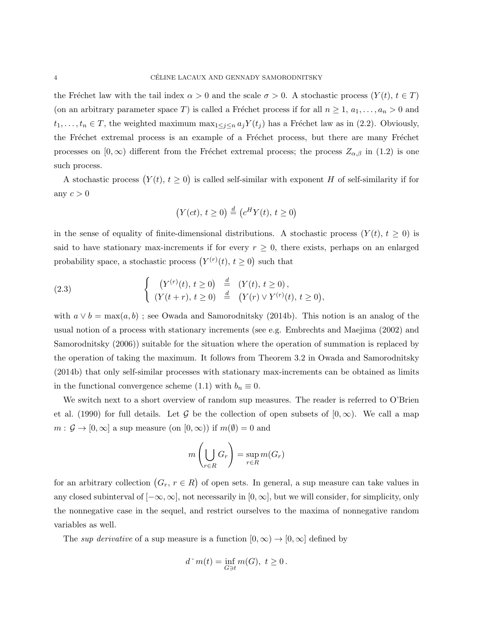the Fréchet law with the tail index  $\alpha > 0$  and the scale  $\sigma > 0$ . A stochastic process  $(Y(t), t \in T)$ (on an arbitrary parameter space T) is called a Fréchet process if for all  $n \geq 1, a_1, \ldots, a_n > 0$  and  $t_1, \ldots, t_n \in T$ , the weighted maximum  $\max_{1 \leq j \leq n} a_j Y(t_j)$  has a Fréchet law as in (2.2). Obviously, the Fréchet extremal process is an example of a Fréchet process, but there are many Fréchet processes on  $[0, \infty)$  different from the Fréchet extremal process; the process  $Z_{\alpha,\beta}$  in (1.2) is one such process.

A stochastic process  $(Y(t), t \geq 0)$  is called self-similar with exponent H of self-similarity if for any  $c > 0$ 

$$
(Y(ct), t \ge 0) \stackrel{d}{=} (c^H Y(t), t \ge 0)
$$

in the sense of equality of finite-dimensional distributions. A stochastic process  $(Y(t), t \geq 0)$  is said to have stationary max-increments if for every  $r \geq 0$ , there exists, perhaps on an enlarged probability space, a stochastic process  $(Y^{(r)}(t), t \geq 0)$  such that

(2.3) 
$$
\begin{cases} (Y^{(r)}(t), t \ge 0) \stackrel{d}{=} (Y(t), t \ge 0), \\ (Y(t+r), t \ge 0) \stackrel{d}{=} (Y(r) \vee Y^{(r)}(t), t \ge 0), \end{cases}
$$

with  $a \vee b = \max(a, b)$ ; see Owada and Samorodnitsky (2014b). This notion is an analog of the usual notion of a process with stationary increments (see e.g. Embrechts and Maejima (2002) and Samorodnitsky (2006)) suitable for the situation where the operation of summation is replaced by the operation of taking the maximum. It follows from Theorem 3.2 in Owada and Samorodnitsky (2014b) that only self-similar processes with stationary max-increments can be obtained as limits in the functional convergence scheme (1.1) with  $b_n \equiv 0$ .

We switch next to a short overview of random sup measures. The reader is referred to O'Brien et al. (1990) for full details. Let G be the collection of open subsets of  $[0, \infty)$ . We call a map  $m: \mathcal{G} \to [0, \infty]$  a sup measure (on  $[0, \infty)$ ) if  $m(\emptyset) = 0$  and

$$
m\left(\bigcup_{r\in R} G_r\right) = \sup_{r\in R} m(G_r)
$$

for an arbitrary collection  $(G_r, r \in R)$  of open sets. In general, a sup measure can take values in any closed subinterval of  $[-\infty, \infty]$ , not necessarily in  $[0, \infty]$ , but we will consider, for simplicity, only the nonnegative case in the sequel, and restrict ourselves to the maxima of nonnegative random variables as well.

The sup derivative of a sup measure is a function  $[0, \infty) \to [0, \infty]$  defined by

$$
d^{\sim}m(t)=\inf_{G\ni t}m(G),\ t\geq 0\,.
$$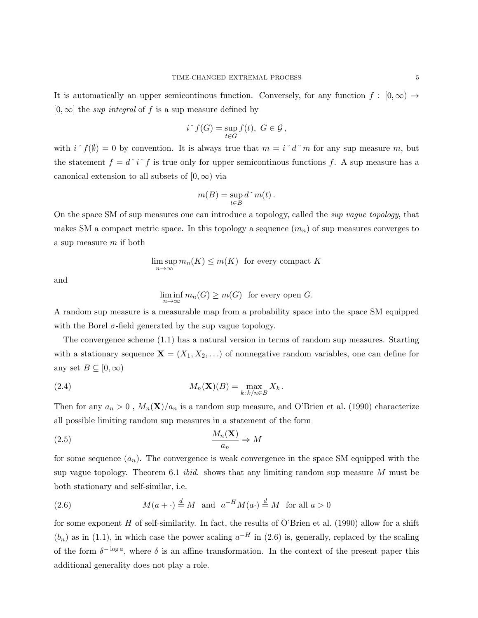It is automatically an upper semicontinous function. Conversely, for any function  $f : [0, \infty) \rightarrow$  $[0, \infty]$  the *sup integral* of f is a sup measure defined by

$$
i^* f(G) = \sup_{t \in G} f(t), \ G \in \mathcal{G},
$$

with  $i \checkmark f(\emptyset) = 0$  by convention. It is always true that  $m = i \checkmark d \checkmark m$  for any sup measure m, but the statement  $f = d^{\dagger} i^{\dagger} f$  is true only for upper semicontinous functions f. A sup measure has a canonical extension to all subsets of  $[0, \infty)$  via

$$
m(B)=\sup_{t\in B} d\,{}\hat{\,}\, m(t)\,.
$$

On the space SM of sup measures one can introduce a topology, called the sup vague topology, that makes SM a compact metric space. In this topology a sequence  $(m_n)$  of sup measures converges to a sup measure m if both

$$
\limsup_{n \to \infty} m_n(K) \le m(K) \text{ for every compact } K
$$

and

 $\liminf_{n\to\infty} m_n(G) \geq m(G)$  for every open G.

A random sup measure is a measurable map from a probability space into the space SM equipped with the Borel  $\sigma$ -field generated by the sup vague topology.

The convergence scheme (1.1) has a natural version in terms of random sup measures. Starting with a stationary sequence  $\mathbf{X} = (X_1, X_2, \ldots)$  of nonnegative random variables, one can define for any set  $B \subseteq [0, \infty)$ 

(2.4) 
$$
M_n(\mathbf{X})(B) = \max_{k: k/n \in B} X_k.
$$

Then for any  $a_n > 0$ ,  $M_n(\mathbf{X})/a_n$  is a random sup measure, and O'Brien et al. (1990) characterize all possible limiting random sup measures in a statement of the form

$$
\frac{M_n(\mathbf{X})}{a_n} \Rightarrow M
$$

for some sequence  $(a_n)$ . The convergence is weak convergence in the space SM equipped with the sup vague topology. Theorem 6.1 *ibid.* shows that any limiting random sup measure  $M$  must be both stationary and self-similar, i.e.

(2.6) 
$$
M(a + \cdot) \stackrel{d}{=} M
$$
 and  $a^{-H}M(a \cdot) \stackrel{d}{=} M$  for all  $a > 0$ 

for some exponent  $H$  of self-similarity. In fact, the results of O'Brien et al. (1990) allow for a shift  $(b_n)$  as in (1.1), in which case the power scaling  $a^{-H}$  in (2.6) is, generally, replaced by the scaling of the form  $\delta^{-\log a}$ , where  $\delta$  is an affine transformation. In the context of the present paper this additional generality does not play a role.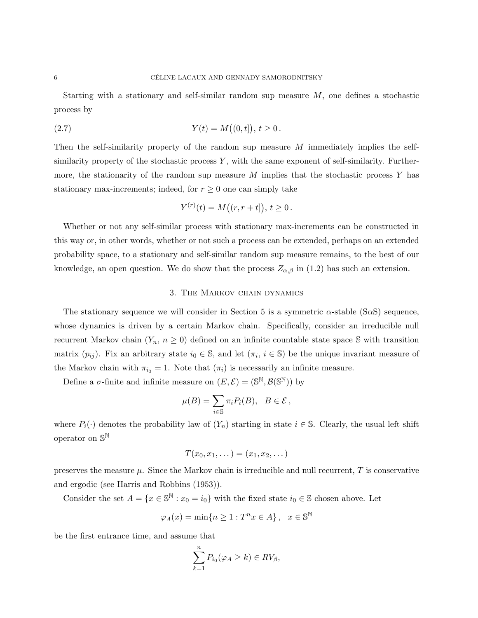Starting with a stationary and self-similar random sup measure  $M$ , one defines a stochastic process by

(2.7) 
$$
Y(t) = M((0, t]), t \ge 0.
$$

Then the self-similarity property of the random sup measure M immediately implies the selfsimilarity property of the stochastic process  $Y$ , with the same exponent of self-similarity. Furthermore, the stationarity of the random sup measure  $M$  implies that the stochastic process Y has stationary max-increments; indeed, for  $r \geq 0$  one can simply take

$$
Y^{(r)}(t) = M((r, r+t]), t \ge 0.
$$

Whether or not any self-similar process with stationary max-increments can be constructed in this way or, in other words, whether or not such a process can be extended, perhaps on an extended probability space, to a stationary and self-similar random sup measure remains, to the best of our knowledge, an open question. We do show that the process  $Z_{\alpha,\beta}$  in (1.2) has such an extension.

## 3. The Markov chain dynamics

The stationary sequence we will consider in Section 5 is a symmetric  $\alpha$ -stable (S $\alpha$ S) sequence, whose dynamics is driven by a certain Markov chain. Specifically, consider an irreducible null recurrent Markov chain  $(Y_n, n \geq 0)$  defined on an infinite countable state space S with transition matrix  $(p_{ij})$ . Fix an arbitrary state  $i_0 \in \mathbb{S}$ , and let  $(\pi_i, i \in \mathbb{S})$  be the unique invariant measure of the Markov chain with  $\pi_{i_0} = 1$ . Note that  $(\pi_i)$  is necessarily an infinite measure.

Define a  $\sigma$ -finite and infinite measure on  $(E, \mathcal{E}) = (\mathbb{S}^{\mathbb{N}}, \mathcal{B}(\mathbb{S}^{\mathbb{N}}))$  by

$$
\mu(B) = \sum_{i \in \mathbb{S}} \pi_i P_i(B), \ \ B \in \mathcal{E},
$$

where  $P_i(\cdot)$  denotes the probability law of  $(Y_n)$  starting in state  $i \in \mathbb{S}$ . Clearly, the usual left shift operator on  $\mathbb{S}^{\mathbb{N}}$ 

$$
T(x_0,x_1,\dots)=(x_1,x_2,\dots)
$$

preserves the measure  $\mu$ . Since the Markov chain is irreducible and null recurrent,  $T$  is conservative and ergodic (see Harris and Robbins (1953)).

Consider the set  $A = \{x \in \mathbb{S}^{\mathbb{N}} : x_0 = i_0\}$  with the fixed state  $i_0 \in \mathbb{S}$  chosen above. Let

$$
\varphi_A(x) = \min\{n \ge 1 : T^n x \in A\}, \quad x \in \mathbb{S}^{\mathbb{N}}
$$

be the first entrance time, and assume that

$$
\sum_{k=1}^{n} P_{i_0}(\varphi_A \ge k) \in RV_{\beta},
$$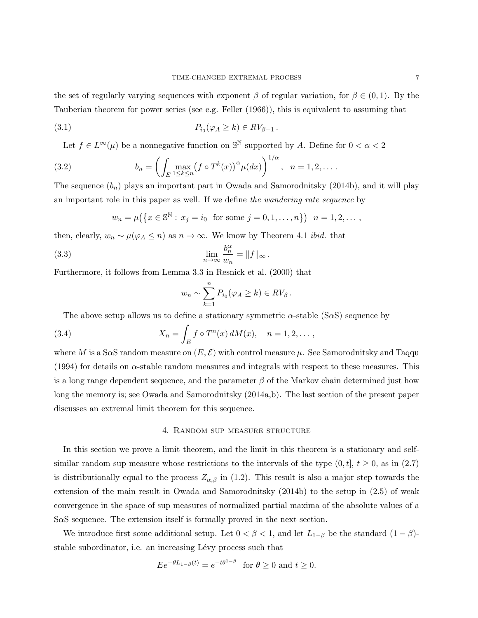the set of regularly varying sequences with exponent  $\beta$  of regular variation, for  $\beta \in (0,1)$ . By the Tauberian theorem for power series (see e.g. Feller (1966)), this is equivalent to assuming that

$$
(3.1) \t\t P_{i_0}(\varphi_A \ge k) \in RV_{\beta-1}.
$$

Let  $f \in L^{\infty}(\mu)$  be a nonnegative function on  $\mathbb{S}^{\mathbb{N}}$  supported by A. Define for  $0 < \alpha < 2$ 

(3.2) 
$$
b_n = \left( \int_E \max_{1 \le k \le n} (f \circ T^k(x))^{\alpha} \mu(dx) \right)^{1/\alpha}, \quad n = 1, 2, \dots
$$

The sequence  $(b_n)$  plays an important part in Owada and Samorodnitsky (2014b), and it will play an important role in this paper as well. If we define the wandering rate sequence by

$$
w_n = \mu(\lbrace x \in \mathbb{S}^{\mathbb{N}} : x_j = i_0 \text{ for some } j = 0, 1, ..., n \rbrace)
$$
  $n = 1, 2, ...,$ 

then, clearly,  $w_n \sim \mu(\varphi_A \leq n)$  as  $n \to \infty$ . We know by Theorem 4.1 *ibid.* that

(3.3) 
$$
\lim_{n \to \infty} \frac{b_n^{\alpha}}{w_n} = ||f||_{\infty}.
$$

Furthermore, it follows from Lemma 3.3 in Resnick et al. (2000) that

$$
w_n \sim \sum_{k=1}^n P_{i_0}(\varphi_A \ge k) \in RV_\beta.
$$

The above setup allows us to define a stationary symmetric  $\alpha$ -stable (S $\alpha$ S) sequence by

(3.4) 
$$
X_n = \int_E f \circ T^n(x) dM(x), \quad n = 1, 2, \dots,
$$

where M is a S $\alpha$ S random measure on  $(E, \mathcal{E})$  with control measure  $\mu$ . See Samorodnitsky and Taqqu (1994) for details on  $\alpha$ -stable random measures and integrals with respect to these measures. This is a long range dependent sequence, and the parameter  $\beta$  of the Markov chain determined just how long the memory is; see Owada and Samorodnitsky (2014a,b). The last section of the present paper discusses an extremal limit theorem for this sequence.

#### 4. Random sup measure structure

In this section we prove a limit theorem, and the limit in this theorem is a stationary and selfsimilar random sup measure whose restrictions to the intervals of the type  $(0, t]$ ,  $t \ge 0$ , as in  $(2.7)$ is distributionally equal to the process  $Z_{\alpha,\beta}$  in (1.2). This result is also a major step towards the extension of the main result in Owada and Samorodnitsky (2014b) to the setup in (2.5) of weak convergence in the space of sup measures of normalized partial maxima of the absolute values of a S $\alpha$ S sequence. The extension itself is formally proved in the next section.

We introduce first some additional setup. Let  $0 < \beta < 1$ , and let  $L_{1-\beta}$  be the standard  $(1 - \beta)$ stable subordinator, i.e. an increasing Lévy process such that

$$
Ee^{-\theta L_{1-\beta}(t)} = e^{-t\theta^{1-\beta}} \text{ for } \theta \ge 0 \text{ and } t \ge 0.
$$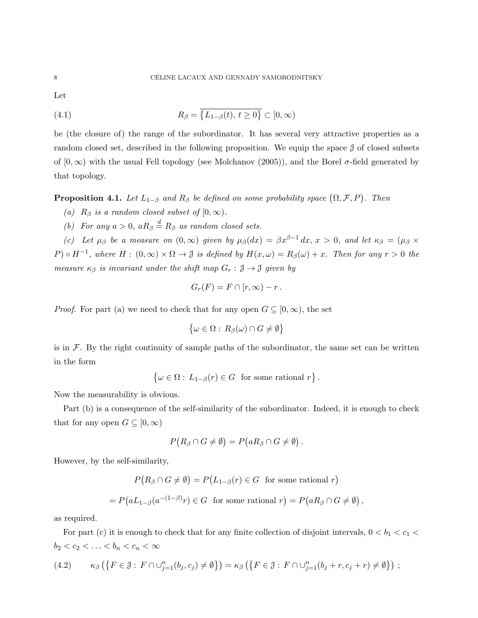Let

(4.1) 
$$
R_{\beta} = \overline{\{L_{1-\beta}(t), t \geq 0\}} \subset [0, \infty)
$$

be (the closure of) the range of the subordinator. It has several very attractive properties as a random closed set, described in the following proposition. We equip the space J of closed subsets of  $[0, \infty)$  with the usual Fell topology (see Molchanov (2005)), and the Borel  $\sigma$ -field generated by that topology.

**Proposition 4.1.** Let  $L_{1-\beta}$  and  $R_{\beta}$  be defined on some probability space  $(\Omega, \mathcal{F}, P)$ . Then

- (a)  $R_\beta$  is a random closed subset of  $[0, \infty)$ .
- (b) For any  $a > 0$ ,  $aR_\beta \stackrel{d}{=} R_\beta$  as random closed sets.

(c) Let  $\mu_{\beta}$  be a measure on  $(0,\infty)$  given by  $\mu_{\beta}(dx) = \beta x^{\beta-1} dx$ ,  $x > 0$ , and let  $\kappa_{\beta} = (\mu_{\beta} \times$  $P) \circ H^{-1}$ , where  $H: (0, \infty) \times \Omega \to \mathcal{J}$  is defined by  $H(x, \omega) = R_{\beta}(\omega) + x$ . Then for any  $r > 0$  the measure  $\kappa_{\beta}$  is invariant under the shift map  $G_r : \mathfrak{J} \to \mathfrak{J}$  given by

$$
G_r(F) = F \cap [r, \infty) - r.
$$

*Proof.* For part (a) we need to check that for any open  $G \subseteq [0,\infty)$ , the set

$$
\{\omega \in \Omega : R_{\beta}(\omega) \cap G \neq \emptyset\}
$$

is in  $\mathcal F$ . By the right continuity of sample paths of the subordinator, the same set can be written in the form

 $\{\omega \in \Omega : L_{1-\beta}(r) \in G \text{ for some rational } r\}.$ 

Now the measurability is obvious.

Part (b) is a consequence of the self-similarity of the subordinator. Indeed, it is enough to check that for any open  $G \subseteq [0, \infty)$ 

$$
P(R_{\beta} \cap G \neq \emptyset) = P(aR_{\beta} \cap G \neq \emptyset).
$$

However, by the self-similarity,

$$
P(R_{\beta} \cap G \neq \emptyset) = P(L_{1-\beta}(r) \in G \text{ for some rational } r)
$$

$$
= P(aL_{1-\beta}(a^{-(1-\beta)}r) \in G \text{ for some rational } r) = P(aR_{\beta} \cap G \neq \emptyset)
$$

,

as required.

For part (c) it is enough to check that for any finite collection of disjoint intervals,  $0 < b_1 < c_1 <$  $b_2 < c_2 < \ldots < b_n < c_n < \infty$ 

$$
(4.2) \qquad \kappa_{\beta}\left(\left\{F \in \mathcal{J}: F \cap \cup_{j=1}^{n}(b_j, c_j) \neq \emptyset\right\}\right) = \kappa_{\beta}\left(\left\{F \in \mathcal{J}: F \cap \cup_{j=1}^{n}(b_j + r, c_j + r) \neq \emptyset\right\}\right);
$$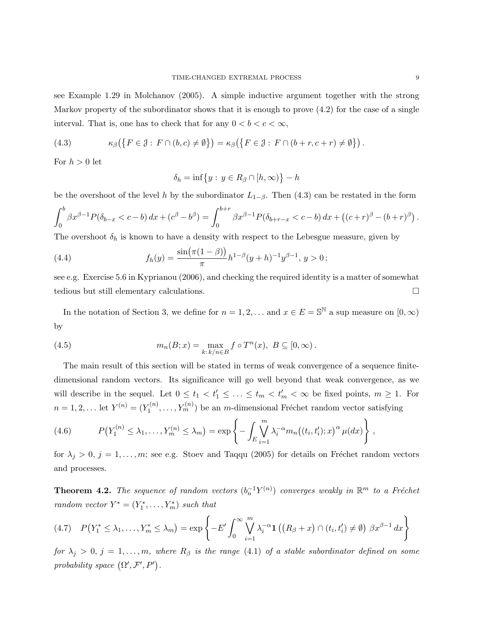see Example 1.29 in Molchanov (2005). A simple inductive argument together with the strong Markov property of the subordinator shows that it is enough to prove (4.2) for the case of a single interval. That is, one has to check that for any  $0 < b < c < \infty$ ,

(4.3) 
$$
\kappa_{\beta}(\lbrace F \in \mathcal{J} : F \cap (b, c) \neq \emptyset \rbrace) = \kappa_{\beta}(\lbrace F \in \mathcal{J} : F \cap (b+r, c+r) \neq \emptyset \rbrace).
$$

For  $h > 0$  let

$$
\delta_h = \inf\big\{y : y \in R_\beta \cap [h,\infty)\big\} - h
$$

be the overshoot of the level h by the subordinator  $L_{1-\beta}$ . Then (4.3) can be restated in the form

$$
\int_0^b \beta x^{\beta-1} P(\delta_{b-x} < c - b) dx + (c^{\beta} - b^{\beta}) = \int_0^{b+r} \beta x^{\beta-1} P(\delta_{b+r-x} < c - b) dx + ((c+r)^{\beta} - (b+r)^{\beta}).
$$

The overshoot  $\delta_h$  is known to have a density with respect to the Lebesgue measure, given by

(4.4) 
$$
f_h(y) = \frac{\sin(\pi(1-\beta))}{\pi} h^{1-\beta}(y+h)^{-1} y^{\beta-1}, y > 0;
$$

see e.g. Exercise 5.6 in Kyprianou (2006), and checking the required identity is a matter of somewhat tedious but still elementary calculations.

In the notation of Section 3, we define for  $n = 1, 2, ...$  and  $x \in E = \mathbb{S}^{\mathbb{N}}$  a sup measure on  $[0, \infty)$ by

(4.5) 
$$
m_n(B;x) = \max_{k:\,k/n \in B} f \circ T^n(x), \ B \subseteq [0,\infty).
$$

The main result of this section will be stated in terms of weak convergence of a sequence finitedimensional random vectors. Its significance will go well beyond that weak convergence, as we will describe in the sequel. Let  $0 \le t_1 < t'_1 \le \ldots \le t_m < t'_m < \infty$  be fixed points,  $m \ge 1$ . For  $n = 1, 2, \ldots$  let  $Y^{(n)} = (Y_1^{(n)}$  $Y_1^{(n)}, \ldots, Y_m^{(n)}$  be an *m*-dimensional Fréchet random vector satisfying

(4.6) 
$$
P(Y_1^{(n)} \leq \lambda_1, \ldots, Y_m^{(n)} \leq \lambda_m) = \exp\left\{-\int_E \bigvee_{i=1}^m \lambda_i^{-\alpha} m_n((t_i, t'_i); x)^{\alpha} \mu(dx)\right\},
$$

for  $\lambda_j > 0$ ,  $j = 1, \ldots, m$ ; see e.g. Stoev and Taqqu (2005) for details on Fréchet random vectors and processes.

**Theorem 4.2.** The sequence of random vectors  $(b_n^{-1}Y^{(n)})$  converges weakly in  $\mathbb{R}^m$  to a Fréchet random vector  $Y^* = (Y_1^*, \ldots, Y_m^*)$  such that

$$
(4.7) \quad P(Y_1^* \le \lambda_1, \dots, Y_m^* \le \lambda_m) = \exp\left\{-E' \int_0^\infty \bigvee_{i=1}^m \lambda_i^{-\alpha} \mathbf{1}\left((R_\beta + x) \cap (t_i, t'_i) \neq \emptyset\right) \beta x^{\beta - 1} dx\right\}
$$

for  $\lambda_j > 0$ ,  $j = 1, \ldots, m$ , where  $R_\beta$  is the range (4.1) of a stable subordinator defined on some probability space  $(\Omega', \mathcal{F}', P')$ .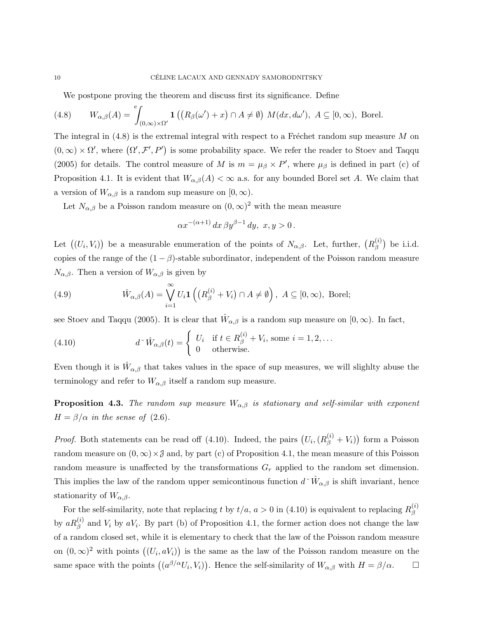We postpone proving the theorem and discuss first its significance. Define

(4.8) 
$$
W_{\alpha,\beta}(A) = \int_{(0,\infty)\times\Omega'} \mathbf{1}\left( \left( R_{\beta}(\omega') + x \right) \cap A \neq \emptyset \right) M(dx,d\omega'), A \subseteq [0,\infty), \text{ Borel.}
$$

The integral in  $(4.8)$  is the extremal integral with respect to a Fréchet random sup measure M on  $(0,\infty) \times \Omega'$ , where  $(\Omega', \mathcal{F}', P')$  is some probability space. We refer the reader to Stoev and Taqqu (2005) for details. The control measure of M is  $m = \mu_{\beta} \times P'$ , where  $\mu_{\beta}$  is defined in part (c) of Proposition 4.1. It is evident that  $W_{\alpha,\beta}(A) < \infty$  a.s. for any bounded Borel set A. We claim that a version of  $W_{\alpha,\beta}$  is a random sup measure on  $[0,\infty)$ .

Let  $N_{\alpha,\beta}$  be a Poisson random measure on  $(0,\infty)^2$  with the mean measure

$$
\alpha x^{-(\alpha+1)} dx \,\beta y^{\beta-1} dy, \, x, y > 0.
$$

Let  $((U_i, V_i))$  be a measurable enumeration of the points of  $N_{\alpha,\beta}$ . Let, further,  $(R_{\beta}^{(i)})$  $\binom{1}{\beta}$  be i.i.d. copies of the range of the  $(1 - \beta)$ -stable subordinator, independent of the Poisson random measure  $N_{\alpha,\beta}$ . Then a version of  $W_{\alpha,\beta}$  is given by

(4.9) 
$$
\hat{W}_{\alpha,\beta}(A) = \bigvee_{i=1}^{\infty} U_i \mathbf{1}\left( \left( R_{\beta}^{(i)} + V_i \right) \cap A \neq \emptyset \right), A \subseteq [0, \infty), \text{ Borel};
$$

see Stoev and Taqqu (2005). It is clear that  $\hat{W}_{\alpha,\beta}$  is a random sup measure on  $[0,\infty)$ . In fact,

(4.10) 
$$
d^{\times}\hat{W}_{\alpha,\beta}(t) = \begin{cases} U_i & \text{if } t \in R_{\beta}^{(i)} + V_i \text{, some } i = 1,2,\dots \\ 0 & \text{otherwise.} \end{cases}
$$

Even though it is  $\hat{W}_{\alpha,\beta}$  that takes values in the space of sup measures, we will slighlty abuse the terminology and refer to  $W_{\alpha,\beta}$  itself a random sup measure.

**Proposition 4.3.** The random sup measure  $W_{\alpha,\beta}$  is stationary and self-similar with exponent  $H = \beta/\alpha$  in the sense of (2.6).

*Proof.* Both statements can be read off (4.10). Indeed, the pairs  $(U_i, (R_\beta^{(i)} + V_i))$  form a Poisson random measure on  $(0, \infty) \times \mathcal{J}$  and, by part (c) of Proposition 4.1, the mean measure of this Poisson random measure is unaffected by the transformations  $G_r$  applied to the random set dimension. This implies the law of the random upper semicontinous function  $d^{\times}\hat{W}_{\alpha,\beta}$  is shift invariant, hence stationarity of  $W_{\alpha,\beta}$ .

For the self-similarity, note that replacing t by  $t/a$ ,  $a > 0$  in (4.10) is equivalent to replacing  $R_A^{(i)}$ β by  $aR_{\beta}^{(i)}$  and  $V_i$  by  $aV_i$ . By part (b) of Proposition 4.1, the former action does not change the law of a random closed set, while it is elementary to check that the law of the Poisson random measure on  $(0, \infty)^2$  with points  $((U_i, aV_i))$  is the same as the law of the Poisson random measure on the same space with the points  $((a^{\beta/\alpha}U_i, V_i))$ . Hence the self-similarity of  $W_{\alpha,\beta}$  with  $H = \beta/\alpha$ .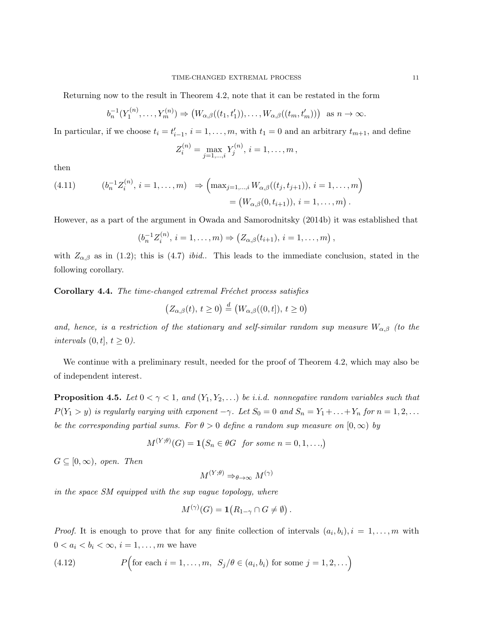Returning now to the result in Theorem 4.2, note that it can be restated in the form

$$
b_n^{-1}(Y_1^{(n)},...,Y_m^{(n)}) \Rightarrow (W_{\alpha,\beta}((t_1,t'_1)),...,W_{\alpha,\beta}((t_m,t'_m)))
$$
 as  $n \to \infty$ .

In particular, if we choose  $t_i = t'_{i-1}, i = 1, \ldots, m$ , with  $t_1 = 0$  and an arbitrary  $t_{m+1}$ , and define

$$
Z_i^{(n)} = \max_{j=1,\dots,i} Y_j^{(n)}, i = 1,\dots,m,
$$

then

(4.11) 
$$
(b_n^{-1}Z_i^{(n)}, i = 1,...,m) \Rightarrow \left(\max_{j=1,...,i} W_{\alpha,\beta}((t_j, t_{j+1})), i = 1,...,m\right)
$$

$$
= (W_{\alpha,\beta}(0, t_{i+1})), i = 1,...,m).
$$

However, as a part of the argument in Owada and Samorodnitsky (2014b) it was established that

$$
(b_n^{-1}Z_i^{(n)}, i = 1, \ldots, m) \Rightarrow (Z_{\alpha,\beta}(t_{i+1}), i = 1, \ldots, m),
$$

with  $Z_{\alpha,\beta}$  as in (1.2); this is (4.7) *ibid.*. This leads to the immediate conclusion, stated in the following corollary.

Corollary 4.4. The time-changed extremal Fréchet process satisfies

$$
\left(Z_{\alpha,\beta}(t),\,t\geq 0\right) \stackrel{d}{=} \left(W_{\alpha,\beta}((0,t]),\,t\geq 0\right)
$$

and, hence, is a restriction of the stationary and self-similar random sup measure  $W_{\alpha,\beta}$  (to the intervals  $(0, t], t \ge 0$ .

We continue with a preliminary result, needed for the proof of Theorem 4.2, which may also be of independent interest.

**Proposition 4.5.** Let  $0 < \gamma < 1$ , and  $(Y_1, Y_2, ...)$  be i.i.d. nonnegative random variables such that  $P(Y_1 > y)$  is regularly varying with exponent  $-\gamma$ . Let  $S_0 = 0$  and  $S_n = Y_1 + ... + Y_n$  for  $n = 1, 2, ...$ be the corresponding partial sums. For  $\theta > 0$  define a random sup measure on  $[0, \infty)$  by

$$
M^{(Y;\theta)}(G) = \mathbf{1}(S_n \in \theta G \text{ for some } n = 0, 1, \ldots)
$$

 $G \subseteq [0, \infty)$ , open. Then

 $M^{(Y;\theta)} \Rightarrow_{\theta \to \infty} M^{(\gamma)}$ 

in the space SM equipped with the sup vague topology, where

$$
M^{(\gamma)}(G) = \mathbf{1}(R_{1-\gamma} \cap G \neq \emptyset).
$$

*Proof.* It is enough to prove that for any finite collection of intervals  $(a_i, b_i), i = 1, \ldots, m$  with  $0 < a_i < b_i < \infty$ ,  $i = 1, \ldots, m$  we have

(4.12) 
$$
P\Big(\text{for each } i = 1,\ldots,m, S_j/\theta \in (a_i, b_i) \text{ for some } j = 1,2,\ldots\Big)
$$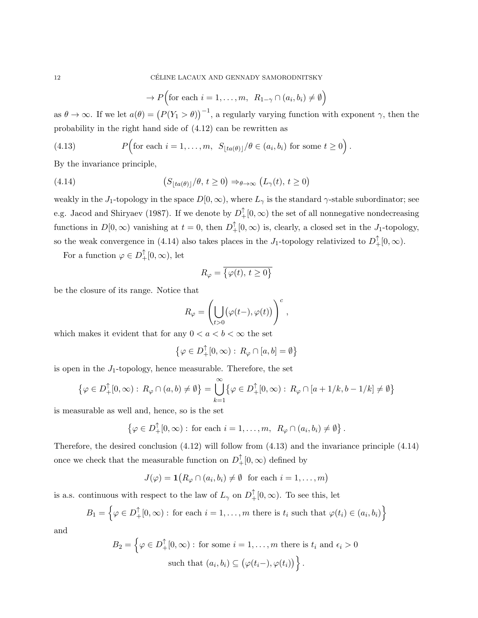$$
\to P\Big(\text{for each } i = 1, \dots, m, \ R_{1-\gamma} \cap (a_i, b_i) \neq \emptyset\Big)
$$

as  $\theta \to \infty$ . If we let  $a(\theta) = (P(Y_1 > \theta))^{-1}$ , a regularly varying function with exponent  $\gamma$ , then the probability in the right hand side of (4.12) can be rewritten as

(4.13) 
$$
P\Big(\text{for each } i = 1,\ldots,m, \ S_{\lfloor ta(\theta)\rfloor}/\theta \in (a_i, b_i) \text{ for some } t \ge 0\Big).
$$

By the invariance principle,

(4.14) 
$$
(S_{\lfloor ta(\theta)\rfloor}/\theta, t \ge 0) \Rightarrow_{\theta \to \infty} (L_{\gamma}(t), t \ge 0)
$$

weakly in the J<sub>1</sub>-topology in the space  $D[0,\infty)$ , where  $L_{\gamma}$  is the standard  $\gamma$ -stable subordinator; see e.g. Jacod and Shiryaev (1987). If we denote by  $D_+^{\uparrow}[0,\infty)$  the set of all nonnegative nondecreasing functions in  $D[0,\infty)$  vanishing at  $t=0$ , then  $D_+^{\uparrow}[0,\infty)$  is, clearly, a closed set in the  $J_1$ -topology, so the weak convergence in (4.14) also takes places in the J<sub>1</sub>-topology relativized to  $D_{+}^{\uparrow}[0,\infty)$ .

For a function  $\varphi \in D^{\uparrow}_{+}[0, \infty)$ , let

$$
R_{\varphi} = \overline{\{\varphi(t), \, t \ge 0\}}
$$

be the closure of its range. Notice that

$$
R_{\varphi} = \left(\bigcup_{t>0} (\varphi(t-), \varphi(t))\right)^c,
$$

which makes it evident that for any  $0 < a < b < \infty$  the set

$$
\left\{ \varphi \in D_+^{\uparrow}[0,\infty) : R_{\varphi} \cap [a,b] = \emptyset \right\}
$$

is open in the  $J_1$ -topology, hence measurable. Therefore, the set

$$
\left\{\varphi \in D^{\uparrow}_{+}[0,\infty):\,R_{\varphi}\cap(a,b)\neq \emptyset\right\}=\bigcup_{k=1}^{\infty}\left\{\varphi \in D^{\uparrow}_{+}[0,\infty):\,R_{\varphi}\cap[a+1/k,b-1/k]\neq \emptyset\right\}
$$

is measurable as well and, hence, so is the set

$$
\left\{ \varphi \in D^{\uparrow}_{+}[0,\infty) : \text{ for each } i = 1,\ldots,m, R_{\varphi} \cap (a_i, b_i) \neq \emptyset \right\}.
$$

Therefore, the desired conclusion (4.12) will follow from (4.13) and the invariance principle (4.14) once we check that the measurable function on  $D^{\uparrow}_{+}[0,\infty)$  defined by

$$
J(\varphi) = \mathbf{1}\big(R_{\varphi} \cap (a_i, b_i) \neq \emptyset \text{ for each } i = 1, \dots, m\big)
$$

is a.s. continuous with respect to the law of  $L_{\gamma}$  on  $D_{+}^{\uparrow}[0,\infty)$ . To see this, let

$$
B_1 = \left\{ \varphi \in D_+^{\uparrow}[0,\infty) : \text{ for each } i = 1,\ldots,m \text{ there is } t_i \text{ such that } \varphi(t_i) \in (a_i, b_i) \right\}
$$

and

$$
B_2 = \left\{ \varphi \in D_+^{\uparrow}[0, \infty) : \text{ for some } i = 1, \dots, m \text{ there is } t_i \text{ and } \epsilon_i > 0 \right\}
$$
  
such that  $(a_i, b_i) \subseteq (\varphi(t_i-), \varphi(t_i)) \right\}.$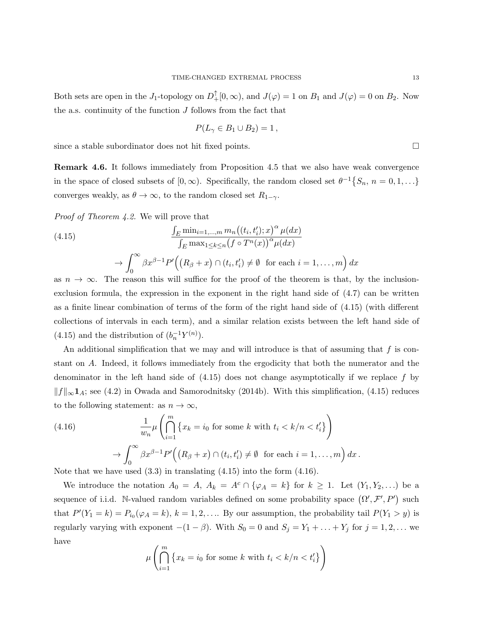Both sets are open in the J<sub>1</sub>-topology on  $D^{\uparrow}_{+}[0,\infty)$ , and  $J(\varphi) = 1$  on  $B_1$  and  $J(\varphi) = 0$  on  $B_2$ . Now the a.s. continuity of the function  $J$  follows from the fact that

$$
P(L_{\gamma} \in B_1 \cup B_2) = 1,
$$

since a stable subordinator does not hit fixed points.

Remark 4.6. It follows immediately from Proposition 4.5 that we also have weak convergence in the space of closed subsets of  $[0, \infty)$ . Specifically, the random closed set  $\theta^{-1}\{S_n, n = 0, 1, ...\}$ converges weakly, as  $\theta \to \infty$ , to the random closed set  $R_{1-\gamma}$ .

Proof of Theorem 4.2. We will prove that

(4.15)  
\n
$$
\frac{\int_E \min_{i=1,\dots,m} m_n((t_i, t'_i); x)^{\alpha} \mu(dx)}{\int_E \max_{1 \leq k \leq n} (f \circ T^n(x))^{\alpha} \mu(dx)}
$$
\n
$$
\to \int_0^{\infty} \beta x^{\beta - 1} P'\Big( (R_{\beta} + x) \cap (t_i, t'_i) \neq \emptyset \text{ for each } i = 1,\dots,m \Big) dx
$$

as  $n \to \infty$ . The reason this will suffice for the proof of the theorem is that, by the inclusionexclusion formula, the expression in the exponent in the right hand side of (4.7) can be written as a finite linear combination of terms of the form of the right hand side of (4.15) (with different collections of intervals in each term), and a similar relation exists between the left hand side of (4.15) and the distribution of  $(b_n^{-1}Y^{(n)})$ .

An additional simplification that we may and will introduce is that of assuming that  $f$  is constant on A. Indeed, it follows immediately from the ergodicity that both the numerator and the denominator in the left hand side of  $(4.15)$  does not change asymptotically if we replace f by  $||f||_{\infty}$ 1<sub>A</sub>; see (4.2) in Owada and Samorodnitsky (2014b). With this simplification, (4.15) reduces to the following statement: as  $n \to \infty$ ,

(4.16) 
$$
\frac{1}{w_n} \mu \left( \bigcap_{i=1}^m \left\{ x_k = i_0 \text{ for some } k \text{ with } t_i < k/n < t'_i \right\} \right)
$$

$$
\rightarrow \int_0^\infty \beta x^{\beta - 1} P' \left( \left( R_\beta + x \right) \cap \left( t_i, t'_i \right) \neq \emptyset \text{ for each } i = 1, \dots, m \right) dx.
$$

Note that we have used  $(3.3)$  in translating  $(4.15)$  into the form  $(4.16)$ .

We introduce the notation  $A_0 = A$ ,  $A_k = A^c \cap {\varphi}_A = k$  for  $k \ge 1$ . Let  $(Y_1, Y_2, \ldots)$  be a sequence of i.i.d. N-valued random variables defined on some probability space  $(\Omega', \mathcal{F}', P')$  such that  $P'(Y_1 = k) = P_{i_0}(\varphi_A = k)$ ,  $k = 1, 2, \ldots$  By our assumption, the probability tail  $P(Y_1 > y)$  is regularly varying with exponent  $-(1 - \beta)$ . With  $S_0 = 0$  and  $S_j = Y_1 + \ldots + Y_j$  for  $j = 1, 2, \ldots$  we have

$$
\mu\left(\bigcap_{i=1}^{m} \left\{x_k = i_0 \text{ for some } k \text{ with } t_i < k/n < t'_i\right\}\right)
$$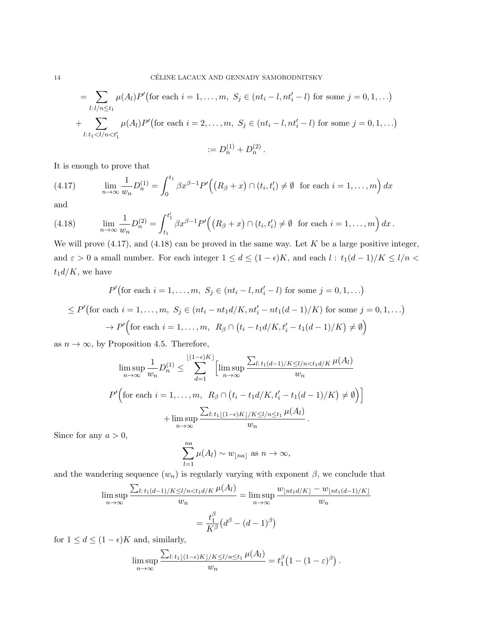$$
= \sum_{l:l/n \le t_1} \mu(A_l) P' \text{ (for each } i = 1, ..., m, S_j \in (nt_i - l, nt'_i - l) \text{ for some } j = 0, 1, ...)
$$

+ 
$$
\sum_{l:t_1 < l/n < t'_1} \mu(A_l) P' \text{ (for each } i = 2, \ldots, m, S_j \in (nt_i - l, nt'_i - l) \text{ for some } j = 0, 1, \ldots)
$$

$$
:= D_n^{(1)} + D_n^{(2)}.
$$

It is enough to prove that

(4.17) 
$$
\lim_{n \to \infty} \frac{1}{w_n} D_n^{(1)} = \int_0^{t_1} \beta x^{\beta - 1} P' \Big( \big( R_\beta + x \big) \cap (t_i, t'_i) \neq \emptyset \text{ for each } i = 1, \dots, m \Big) dx
$$

and

(4.18) 
$$
\lim_{n \to \infty} \frac{1}{w_n} D_n^{(2)} = \int_{t_1}^{t'_1} \beta x^{\beta - 1} P' \Big( (R_{\beta} + x) \cap (t_i, t'_i) \neq \emptyset \text{ for each } i = 1, ..., m \Big) dx.
$$

We will prove  $(4.17)$ , and  $(4.18)$  can be proved in the same way. Let K be a large positive integer, and  $\varepsilon > 0$  a small number. For each integer  $1 \le d \le (1 - \epsilon)K$ , and each  $l : t_1(d-1)/K \le l/n <$  $t_1d/K$ , we have

$$
P'(\text{for each } i = 1, \dots, m, S_j \in (nt_i - l, nt'_i - l) \text{ for some } j = 0, 1, \dots)
$$

$$
\leq P'(\text{for each } i = 1, \dots, m, S_j \in (nt_i - nt_1 d/K, nt'_i - nt_1 (d - 1)/K) \text{ for some } j = 0, 1, \dots)
$$

$$
\to P'\Big(\text{for each } i = 1, \dots, m, R_\beta \cap (t_i - t_1 d/K, t'_i - t_1 (d - 1)/K) \neq \emptyset\Big)
$$

as  $n \to \infty$ , by Proposition 4.5. Therefore,

$$
\limsup_{n \to \infty} \frac{1}{w_n} D_n^{(1)} \le \sum_{d=1}^{\lfloor (1-\epsilon)K \rfloor} \left[ \limsup_{n \to \infty} \frac{\sum_{l: t_1(d-1)/K \le l/n < t_1d/K} \mu(A_l)}{w_n} \right]
$$

$$
P' \left( \text{for each } i = 1, \dots, m, \ R_\beta \cap \left( t_i - t_1d/K, t_i' - t_1(d-1)/K \right) \ne \emptyset \right) \right]
$$

$$
+ \limsup_{n \to \infty} \frac{\sum_{l: t_1 \lfloor (1-\epsilon)K \rfloor/K \le l/n \le t_1} \mu(A_l)}{w_n}.
$$

Since for any  $a > 0$ ,

$$
\sum_{l=1}^{na} \mu(A_l) \sim w_{\lfloor na \rfloor} \text{ as } n \to \infty,
$$

and the wandering sequence  $(w_n)$  is regularly varying with exponent  $\beta$ , we conclude that

$$
\limsup_{n \to \infty} \frac{\sum_{l:t_1(d-1)/K \le l/n < t_1d/K} \mu(A_l)}{w_n} = \limsup_{n \to \infty} \frac{w_{\lfloor nt_1d/K\rfloor} - w_{\lfloor nt_1(d-1)/K\rfloor}}{w_n}
$$

$$
= \frac{t_1^{\beta}}{K^{\beta}} \left(d^{\beta} - (d-1)^{\beta}\right)
$$

for  $1 \leq d \leq (1 - \epsilon)K$  and, similarly,

$$
\limsup_{n\to\infty}\frac{\sum_{l:t_1\lfloor(1-\epsilon)K\rfloor/K\leq l/n\leq t_1}\mu(A_l)}{w_n}=t_1^{\beta}\left(1-(1-\varepsilon)^{\beta}\right).
$$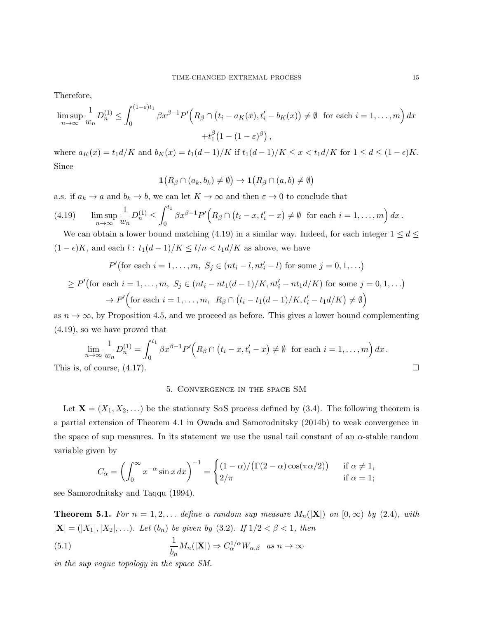Therefore,

$$
\limsup_{n \to \infty} \frac{1}{w_n} D_n^{(1)} \le \int_0^{(1-\varepsilon)t_1} \beta x^{\beta-1} P'\Big(R_\beta \cap \big(t_i - a_K(x), t_i' - b_K(x)\big) \ne \emptyset \text{ for each } i = 1, \dots, m\Big) dx
$$

$$
+ t_1^\beta \big(1 - (1-\varepsilon)^\beta\big),
$$

where  $a_K(x) = t_1 d/K$  and  $b_K(x) = t_1(d-1)/K$  if  $t_1(d-1)/K \leq x < t_1 d/K$  for  $1 \leq d \leq (1-\epsilon)K$ . Since

$$
\mathbf{1}\big(R_\beta\cap(a_k,b_k)\neq\emptyset\big)\to\mathbf{1}\big(R_\beta\cap(a,b)\neq\emptyset\big)
$$

a.s. if  $a_k \to a$  and  $b_k \to b$ , we can let  $K \to \infty$  and then  $\varepsilon \to 0$  to conclude that

$$
(4.19) \qquad \limsup_{n\to\infty}\frac{1}{w_n}D_n^{(1)} \leq \int_0^{t_1}\beta x^{\beta-1}P'\Big(R_\beta\cap(t_i-x,t'_i-x)\neq\emptyset \text{ for each }i=1,\ldots,m\Big)\,dx\,.
$$

We can obtain a lower bound matching (4.19) in a similar way. Indeed, for each integer  $1 \leq d \leq$  $(1 - \epsilon)K$ , and each  $l : t_1(d-1)/K \leq l/n < t_1 d/K$  as above, we have

$$
P'(\text{for each } i = 1, ..., m, S_j \in (nt_i - l, nt'_i - l) \text{ for some } j = 0, 1, ...)
$$

$$
\geq P'(\text{for each } i = 1, ..., m, S_j \in (nt_i - nt_1(d-1)/K, nt'_i - nt_1d/K) \text{ for some } j = 0, 1, ...)
$$

$$
\rightarrow P'\Big(\text{for each } i = 1, ..., m, R_\beta \cap (t_i - t_1(d-1)/K, t'_i - t_1d/K) \neq \emptyset\Big)
$$

as  $n \to \infty$ , by Proposition 4.5, and we proceed as before. This gives a lower bound complementing (4.19), so we have proved that

$$
\lim_{n \to \infty} \frac{1}{w_n} D_n^{(1)} = \int_0^{t_1} \beta x^{\beta - 1} P'(R_\beta \cap (t_i - x, t'_i - x) \neq \emptyset \text{ for each } i = 1, \dots, m) dx.
$$
  
This is, of course, (4.17).

### 5. Convergence in the space SM

Let  $\mathbf{X} = (X_1, X_2, ...)$  be the stationary S $\alpha$ S process defined by (3.4). The following theorem is a partial extension of Theorem 4.1 in Owada and Samorodnitsky (2014b) to weak convergence in the space of sup measures. In its statement we use the usual tail constant of an  $\alpha$ -stable random variable given by

$$
C_{\alpha} = \left(\int_0^{\infty} x^{-\alpha} \sin x \, dx\right)^{-1} = \begin{cases} (1-\alpha)/(\Gamma(2-\alpha)\cos(\pi\alpha/2)) & \text{if } \alpha \neq 1, \\ 2/\pi & \text{if } \alpha = 1; \end{cases}
$$

see Samorodnitsky and Taqqu (1994).

**Theorem 5.1.** For  $n = 1, 2, \ldots$  define a random sup measure  $M_n(|\mathbf{X}|)$  on  $[0, \infty)$  by  $(2.4)$ , with  $|\mathbf{X}| = (|X_1|, |X_2|, \ldots)$ . Let  $(b_n)$  be given by (3.2). If  $1/2 < \beta < 1$ , then  $(5.1)$   $\frac{1}{1}$  $\frac{1}{b_n}M_n(|\mathbf{X}|) \Rightarrow C_{\alpha}^{1/\alpha}W_{\alpha,\beta}$  as  $n \to \infty$ 

in the sup vague topology in the space SM.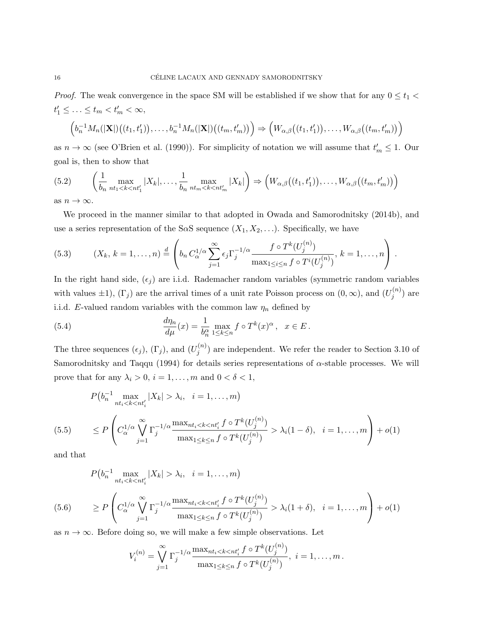*Proof.* The weak convergence in the space SM will be established if we show that for any  $0 \le t_1$  <  $t'_1 \leq \ldots \leq t_m < t'_m < \infty$ ,

$$
\left(b_n^{-1}M_n(|\mathbf{X}|)((t_1,t'_1)),\ldots,b_n^{-1}M_n(|\mathbf{X}|)((t_m,t'_m))\right)\Rightarrow \left(W_{\alpha,\beta}((t_1,t'_1)),\ldots,W_{\alpha,\beta}((t_m,t'_m))\right)
$$

as  $n \to \infty$  (see O'Brien et al. (1990)). For simplicity of notation we will assume that  $t'_m \leq 1$ . Our goal is, then to show that

$$
(5.2) \qquad \left(\frac{1}{b_n} \max_{nt_1 < k < nt'_1} |X_k|, \dots, \frac{1}{b_n} \max_{nt_m < k < nt'_m} |X_k|\right) \Rightarrow \left(W_{\alpha,\beta}\big((t_1, t'_1)\big), \dots, W_{\alpha,\beta}\big((t_m, t'_m)\big)\right)
$$

as  $n \to \infty$ .

We proceed in the manner similar to that adopted in Owada and Samorodnitsky (2014b), and use a series representation of the SaS sequence  $(X_1, X_2, \ldots)$ . Specifically, we have

(5.3) 
$$
(X_k, k = 1,...,n) \stackrel{d}{=} \left(b_n C_{\alpha}^{1/\alpha} \sum_{j=1}^{\infty} \epsilon_j \Gamma_j^{-1/\alpha} \frac{f \circ T^k(U_j^{(n)})}{\max_{1 \leq i \leq n} f \circ T^i(U_j^{(n)})}, k = 1,...,n\right).
$$

In the right hand side,  $(\epsilon_j)$  are i.i.d. Rademacher random variables (symmetric random variables with values  $\pm 1$ ),  $(\Gamma_j)$  are the arrival times of a unit rate Poisson process on  $(0, \infty)$ , and  $(U_j^{(n)})$  $j^{(n)}$ ) are i.i.d. E-valued random variables with the common law  $\eta_n$  defined by

(5.4) 
$$
\frac{d\eta_n}{d\mu}(x) = \frac{1}{b_n^{\alpha}} \max_{1 \le k \le n} f \circ T^k(x)^{\alpha}, \quad x \in E.
$$

The three sequences  $(\epsilon_j)$ ,  $(\Gamma_j)$ , and  $(U_j^{(n)})$  $j^{(n)}$  are independent. We refer the reader to Section 3.10 of Samorodnitsky and Taqqu (1994) for details series representations of  $\alpha$ -stable processes. We will prove that for any  $\lambda_i > 0$ ,  $i = 1, \ldots, m$  and  $0 < \delta < 1$ ,

$$
P(b_n^{-1} \max_{nt_i < k < nt'_i} |X_k| > \lambda_i, \quad i = 1, \dots, m)
$$
\n
$$
\leq P\left(C_\alpha^{1/\alpha} \bigvee_{j=1}^{\infty} \Gamma_j^{-1/\alpha} \frac{\max_{nt_i < k < nt'_i} f \circ T^k(U_j^{(n)})}{\max_{1 \leq k \leq n} f \circ T^k(U_j^{(n)})} > \lambda_i(1 - \delta), \quad i = 1, \dots, m\right) + o(1)
$$

and that

$$
P(b_n^{-1} \max_{nt_i < k < nt'_i} |X_k| > \lambda_i, \quad i = 1, \dots, m)
$$
\n
$$
\geq P\left(C_\alpha^{1/\alpha} \bigvee_{j=1}^{\infty} \Gamma_j^{-1/\alpha} \frac{\max_{nt_i < k < nt'_i} f \circ T^k(U_j^{(n)})}{\max_{1 \leq k \leq n} f \circ T^k(U_j^{(n)})} > \lambda_i(1+\delta), \quad i = 1, \dots, m\right) + o(1)
$$

as  $n \to \infty$ . Before doing so, we will make a few simple observations. Let

$$
V_i^{(n)} = \bigvee_{j=1}^{\infty} \Gamma_j^{-1/\alpha} \frac{\max_{nt_i < k < nt'_i} f \circ T^k(U_j^{(n)})}{\max_{1 \leq k \leq n} f \circ T^k(U_j^{(n)})}, \ i = 1, \dots, m \, .
$$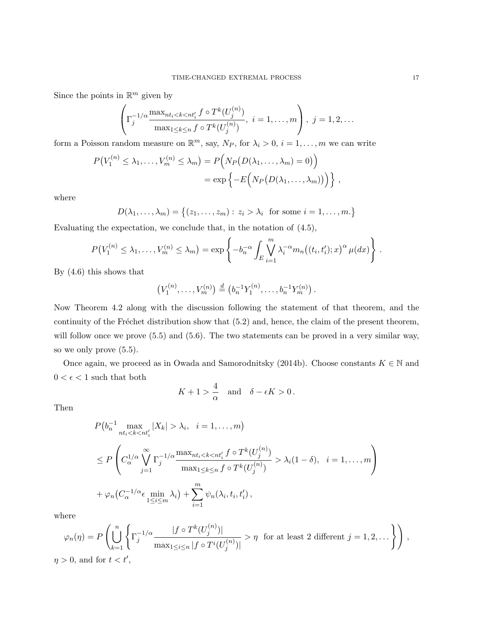Since the points in  $\mathbb{R}^m$  given by

$$
\left(\Gamma_j^{-1/\alpha} \frac{\max_{nt_i < k < nt'_i} f \circ T^k(U_j^{(n)})}{\max_{1 \leq k \leq n} f \circ T^k(U_j^{(n)})}, i = 1, \dots, m\right), j = 1, 2, \dots
$$

form a Poisson random measure on  $\mathbb{R}^m$ , say,  $N_P$ , for  $\lambda_i > 0$ ,  $i = 1, \ldots, m$  we can write

$$
P(V_1^{(n)} \leq \lambda_1, \dots, V_m^{(n)} \leq \lambda_m) = P\Big(N_P(D(\lambda_1, \dots, \lambda_m) = 0)\Big)
$$
  
= 
$$
\exp\Big\{-E\Big(N_P(D(\lambda_1, \dots, \lambda_m))\Big)\Big\},
$$

where

$$
D(\lambda_1,\ldots,\lambda_m)=\{(z_1,\ldots,z_m): z_i>\lambda_i \text{ for some } i=1,\ldots,m.\}
$$

Evaluating the expectation, we conclude that, in the notation of (4.5),

$$
P(V_1^{(n)} \leq \lambda_1, \ldots, V_m^{(n)} \leq \lambda_m) = \exp \left\{-b_n^{-\alpha} \int_E \bigvee_{i=1}^m \lambda_i^{-\alpha} m_n \big((t_i, t'_i); x\big)^{\alpha} \mu(dx)\right\}.
$$

By (4.6) this shows that

$$
(V_1^{(n)},\ldots,V_m^{(n)})\stackrel{d}{=} (b_n^{-1}Y_1^{(n)},\ldots,b_n^{-1}Y_m^{(n)})\ .
$$

Now Theorem 4.2 along with the discussion following the statement of that theorem, and the continuity of the Fréchet distribution show that  $(5.2)$  and, hence, the claim of the present theorem, will follow once we prove  $(5.5)$  and  $(5.6)$ . The two statements can be proved in a very similar way, so we only prove (5.5).

Once again, we proceed as in Owada and Samorodnitsky (2014b). Choose constants  $K \in \mathbb{N}$  and  $0<\epsilon<1$  such that both

$$
K+1 > \frac{4}{\alpha} \quad \text{and} \quad \delta - \epsilon K > 0 \, .
$$

Then

$$
P(b_n^{-1} \max_{nt_i < k < nt'_i} |X_k| > \lambda_i, \quad i = 1, \dots, m)
$$
\n
$$
\leq P\left(C_\alpha^{1/\alpha} \bigvee_{j=1}^{\infty} \Gamma_j^{-1/\alpha} \frac{\max_{nt_i < k < nt'_i} f \circ T^k(U_j^{(n)})}{\max_{1 \leq k \leq n} f \circ T^k(U_j^{(n)})} > \lambda_i(1 - \delta), \quad i = 1, \dots, m\right)
$$
\n
$$
+ \varphi_n(C_\alpha^{-1/\alpha} \epsilon \min_{1 \leq i \leq m} \lambda_i) + \sum_{i=1}^m \psi_n(\lambda_i, t_i, t'_i),
$$

where

$$
\varphi_n(\eta) = P\left(\bigcup_{k=1}^n \left\{\Gamma_j^{-1/\alpha} \frac{|f \circ T^k(U_j^{(n)})|}{\max_{1 \le i \le n} |f \circ T^i(U_j^{(n)})|} > \eta \text{ for at least } 2 \text{ different } j = 1, 2, \dots \right\}\right),
$$

 $\eta > 0$ , and for  $t < t'$ ,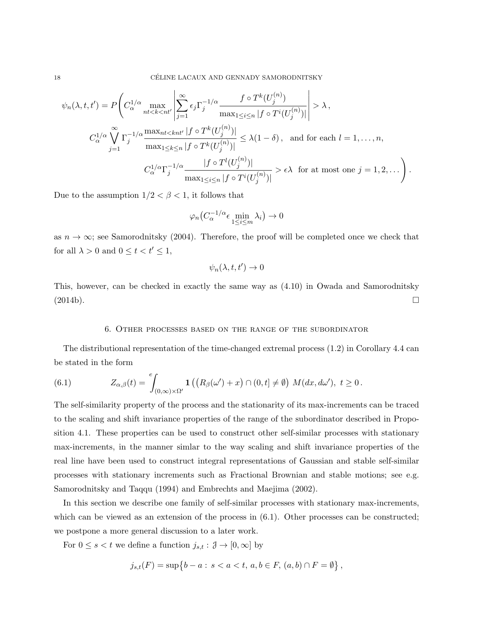$$
\psi_n(\lambda, t, t') = P\left(C_{\alpha}^{1/\alpha} \max_{nt < k < nt'} \left| \sum_{j=1}^{\infty} \epsilon_j \Gamma_j^{-1/\alpha} \frac{f \circ T^k(U_j^{(n)})}{\max_{1 \le i \le n} |f \circ T^i(U_j^{(n)})|} \right| > \lambda,
$$
  

$$
C_{\alpha}^{1/\alpha} \bigvee_{j=1}^{\infty} \Gamma_j^{-1/\alpha} \frac{\max_{nt < knt'} |f \circ T^k(U_j^{(n)})|}{\max_{1 \le k \le n} |f \circ T^k(U_j^{(n)})|} \le \lambda(1 - \delta), \text{ and for each } l = 1, ..., n,
$$
  

$$
C_{\alpha}^{1/\alpha} \Gamma_j^{-1/\alpha} \frac{|f \circ T^l(U_j^{(n)})|}{\max_{1 \le i \le n} |f \circ T^i(U_j^{(n)})|} > \epsilon \lambda \text{ for at most one } j = 1, 2, ... \right).
$$

Due to the assumption  $1/2 < \beta < 1$ , it follows that

$$
\varphi_n \big( C_{\alpha}^{-1/\alpha} \epsilon \min_{1 \le i \le m} \lambda_i \big) \to 0
$$

as  $n \to \infty$ ; see Samorodnitsky (2004). Therefore, the proof will be completed once we check that for all  $\lambda > 0$  and  $0 \le t < t' \le 1$ ,

$$
\psi_n(\lambda, t, t') \to 0
$$

This, however, can be checked in exactly the same way as (4.10) in Owada and Samorodnitsky  $(2014b).$ 

#### 6. Other processes based on the range of the subordinator

The distributional representation of the time-changed extremal process (1.2) in Corollary 4.4 can be stated in the form

(6.1) 
$$
Z_{\alpha,\beta}(t) = \int_{(0,\infty)\times\Omega'} \mathbf{1}\left( \left( R_{\beta}(\omega') + x \right) \cap (0,t] \neq \emptyset \right) M(dx,d\omega'), \ t \geq 0.
$$

The self-similarity property of the process and the stationarity of its max-increments can be traced to the scaling and shift invariance properties of the range of the subordinator described in Proposition 4.1. These properties can be used to construct other self-similar processes with stationary max-increments, in the manner simlar to the way scaling and shift invariance properties of the real line have been used to construct integral representations of Gaussian and stable self-similar processes with stationary increments such as Fractional Brownian and stable motions; see e.g. Samorodnitsky and Taqqu (1994) and Embrechts and Maejima (2002).

In this section we describe one family of self-similar processes with stationary max-increments, which can be viewed as an extension of the process in  $(6.1)$ . Other processes can be constructed; we postpone a more general discussion to a later work.

For  $0 \le s < t$  we define a function  $j_{s,t} : \mathcal{J} \to [0, \infty]$  by

$$
j_{s,t}(F) = \sup\{b - a : s < a < t, a, b \in F, (a, b) \cap F = \emptyset\},\
$$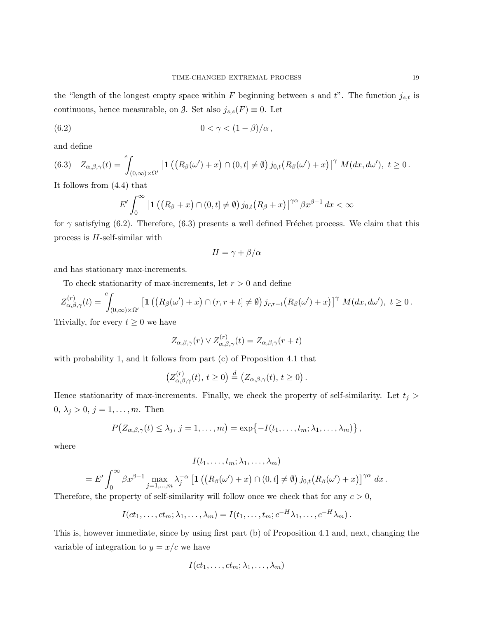the "length of the longest empty space within F beginning between s and  $t$ ". The function  $j_{s,t}$  is continuous, hence measurable, on  $\mathcal{J}$ . Set also  $j_{s,s}(F) \equiv 0$ . Let

$$
(6.2) \t\t 0 < \gamma < (1 - \beta)/\alpha,
$$

and define

$$
(6.3) \quad Z_{\alpha,\beta,\gamma}(t) = \int_{(0,\infty)\times\Omega'} \left[ \mathbf{1}\left( \left( R_{\beta}(\omega') + x \right) \cap (0,t] \neq \emptyset \right) j_{0,t} \left( R_{\beta}(\omega') + x \right) \right]^\gamma M(dx,d\omega'), \ t \geq 0.
$$

It follows from (4.4) that

$$
E' \int_0^\infty \left[ \mathbf{1} \left( \left( R_\beta + x \right) \cap (0, t] \neq \emptyset \right) j_{0,t} \left( R_\beta + x \right) \right]^{\gamma \alpha} \beta x^{\beta - 1} dx < \infty
$$

for  $\gamma$  satisfying (6.2). Therefore, (6.3) presents a well defined Fréchet process. We claim that this process is  $H$ -self-similar with

$$
H = \gamma + \beta/\alpha
$$

and has stationary max-increments.

To check stationarity of max-increments, let  $r > 0$  and define

$$
Z^{(r)}_{\alpha,\beta,\gamma}(t) = \int_{(0,\infty)\times\Omega'} \left[ \mathbf{1}\left( \left( R_{\beta}(\omega') + x \right) \cap (r,r+t] \neq \emptyset \right) j_{r,r+t} \left( R_{\beta}(\omega') + x \right) \right]^\gamma M(dx,d\omega'), \ t \geq 0.
$$

Trivially, for every  $t \geq 0$  we have

$$
Z_{\alpha,\beta,\gamma}(r) \vee Z_{\alpha,\beta,\gamma}^{(r)}(t) = Z_{\alpha,\beta,\gamma}(r+t)
$$

with probability 1, and it follows from part (c) of Proposition 4.1 that

$$
\left(Z_{\alpha,\beta,\gamma}^{(r)}(t),\,t\geq 0\right)\stackrel{d}{=}\left(Z_{\alpha,\beta,\gamma}(t),\,t\geq 0\right).
$$

Hence stationarity of max-increments. Finally, we check the property of self-similarity. Let  $t_j$  > 0,  $\lambda_j > 0, j = 1, ..., m$ . Then

$$
P(Z_{\alpha,\beta,\gamma}(t) \leq \lambda_j, j=1,\ldots,m) = \exp\{-I(t_1,\ldots,t_m;\lambda_1,\ldots,\lambda_m)\},
$$

where

$$
I(t_1,\ldots,t_m;\lambda_1,\ldots,\lambda_m)
$$
  
=  $E' \int_0^\infty \beta x^{\beta-1} \max_{j=1,\ldots,m} \lambda_j^{-\alpha} \left[ \mathbf{1} \left( (R_\beta(\omega') + x) \cap (0,t] \neq \emptyset \right) j_{0,t} (R_\beta(\omega') + x) \right]^{\gamma \alpha} dx.$ 

Therefore, the property of self-similarity will follow once we check that for any  $c > 0$ ,

$$
I(ct_1,\ldots,ct_m;\lambda_1,\ldots,\lambda_m)=I(t_1,\ldots,t_m;c^{-H}\lambda_1,\ldots,c^{-H}\lambda_m).
$$

This is, however immediate, since by using first part (b) of Proposition 4.1 and, next, changing the variable of integration to  $y = x/c$  we have

$$
I(ct_1,\ldots,ct_m;\lambda_1,\ldots,\lambda_m)
$$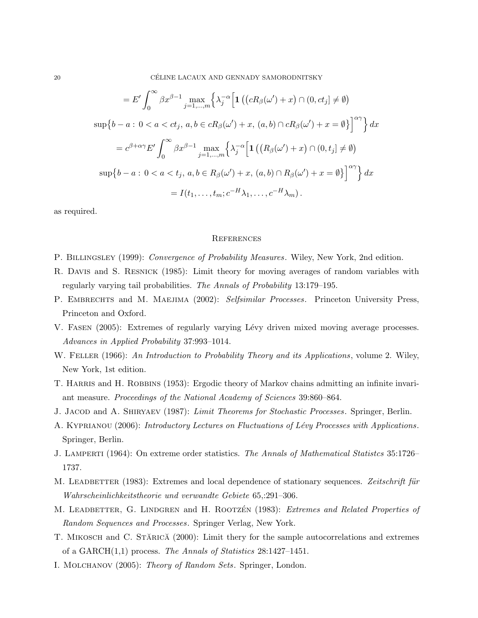$$
= E' \int_0^\infty \beta x^{\beta - 1} \max_{j=1,\dots,m} \left\{ \lambda_j^{-\alpha} \left[ \mathbf{1} \left( (cR_\beta(\omega') + x) \cap (0, ct_j] \neq \emptyset \right) \right. \right\}
$$
  
\n
$$
\sup \left\{ b - a : 0 < a < ct_j, a, b \in cR_\beta(\omega') + x, (a, b) \cap cR_\beta(\omega') + x = \emptyset \right\} \right]^{\alpha \gamma} \left\{ dx \right\}
$$
  
\n
$$
= c^{\beta + \alpha \gamma} E' \int_0^\infty \beta x^{\beta - 1} \max_{j=1,\dots,m} \left\{ \lambda_j^{-\alpha} \left[ \mathbf{1} \left( (R_\beta(\omega') + x) \cap (0, t_j] \neq \emptyset \right) \right. \right\}
$$
  
\n
$$
\sup \left\{ b - a : 0 < a < t_j, a, b \in R_\beta(\omega') + x, (a, b) \cap R_\beta(\omega') + x = \emptyset \right\} \right\}^{\alpha \gamma} \left\{ dx \right\}
$$
  
\n
$$
= I(t_1, \dots, t_m; c^{-H} \lambda_1, \dots, c^{-H} \lambda_m).
$$

as required.

#### **REFERENCES**

- P. BILLINGSLEY (1999): Convergence of Probability Measures. Wiley, New York, 2nd edition.
- R. Davis and S. Resnick (1985): Limit theory for moving averages of random variables with regularly varying tail probabilities. The Annals of Probability 13:179–195.
- P. EMBRECHTS and M. MAEJIMA (2002): Selfsimilar Processes. Princeton University Press, Princeton and Oxford.
- V. FASEN (2005): Extremes of regularly varying Lévy driven mixed moving average processes. Advances in Applied Probability 37:993–1014.
- W. FELLER (1966): An Introduction to Probability Theory and its Applications, volume 2. Wiley, New York, 1st edition.
- T. HARRIS and H. ROBBINS (1953): Ergodic theory of Markov chains admitting an infinite invariant measure. Proceedings of the National Academy of Sciences 39:860–864.
- J. JACOD and A. SHIRYAEV (1987): Limit Theorems for Stochastic Processes. Springer, Berlin.
- A. KYPRIANOU (2006): Introductory Lectures on Fluctuations of Lévy Processes with Applications. Springer, Berlin.
- J. LAMPERTI (1964): On extreme order statistics. The Annals of Mathematical Statistics 35:1726– 1737.
- M. LEADBETTER (1983): Extremes and local dependence of stationary sequences. Zeitschrift für Wahrscheinlichkeitstheorie und verwandte Gebiete 65,:291–306.
- M. LEADBETTER, G. LINDGREN and H. ROOTZEN (1983): Extremes and Related Properties of Random Sequences and Processes. Springer Verlag, New York.
- T. MIKOSCH and C. STARICA (2000): Limit thery for the sample autocorrelations and extremes of a GARCH(1,1) process. The Annals of Statistics 28:1427–1451.
- I. Molchanov (2005): Theory of Random Sets. Springer, London.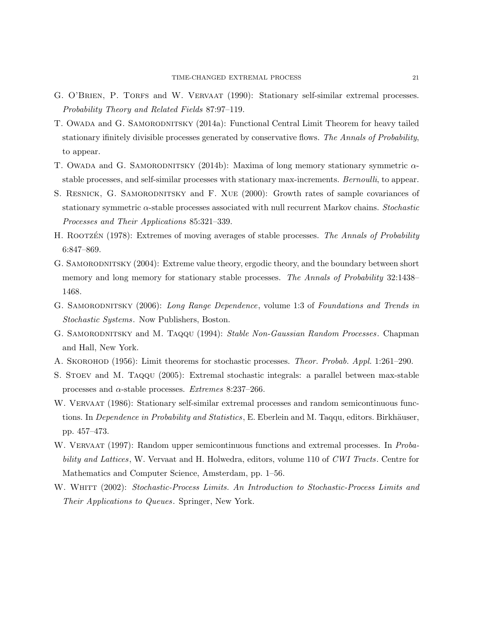- G. O'BRIEN, P. TORFS and W. VERVAAT (1990): Stationary self-similar extremal processes. Probability Theory and Related Fields 87:97–119.
- T. Owada and G. SAMORODNITSKY (2014a): Functional Central Limit Theorem for heavy tailed stationary ifinitely divisible processes generated by conservative flows. The Annals of Probability, to appear.
- T. Owada and G. SAMORODNITSKY (2014b): Maxima of long memory stationary symmetric  $\alpha$ stable processes, and self-similar processes with stationary max-increments. Bernoulli, to appear.
- S. RESNICK, G. SAMORODNITSKY and F. XUE (2000): Growth rates of sample covariances of stationary symmetric  $\alpha$ -stable processes associated with null recurrent Markov chains. Stochastic Processes and Their Applications 85:321–339.
- H. ROOTZEN (1978): Extremes of moving averages of stable processes. The Annals of Probability 6:847–869.
- G. SAMORODNITSKY (2004): Extreme value theory, ergodic theory, and the boundary between short memory and long memory for stationary stable processes. The Annals of Probability 32:1438– 1468.
- G. SAMORODNITSKY (2006): Long Range Dependence, volume 1:3 of Foundations and Trends in Stochastic Systems. Now Publishers, Boston.
- G. SAMORODNITSKY and M. TAQQU (1994): Stable Non-Gaussian Random Processes. Chapman and Hall, New York.
- A. Skorohod (1956): Limit theorems for stochastic processes. Theor. Probab. Appl. 1:261–290.
- S. Stoev and M. Taqqu (2005): Extremal stochastic integrals: a parallel between max-stable processes and  $\alpha$ -stable processes. *Extremes* 8:237–266.
- W. VERVAAT (1986): Stationary self-similar extremal processes and random semicontinuous functions. In *Dependence in Probability and Statistics*, E. Eberlein and M. Taqqu, editors. Birkhäuser, pp. 457–473.
- W. VERVAAT (1997): Random upper semicontinuous functions and extremal processes. In *Proba*bility and Lattices, W. Vervaat and H. Holwedra, editors, volume 110 of CWI Tracts. Centre for Mathematics and Computer Science, Amsterdam, pp. 1–56.
- W. WHITT (2002): Stochastic-Process Limits. An Introduction to Stochastic-Process Limits and Their Applications to Queues. Springer, New York.